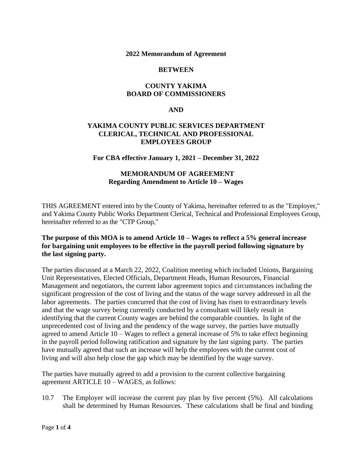#### **2022 Memorandum of Agreement**

### **BETWEEN**

## **COUNTY YAKIMA BOARD OF COMMISSIONERS**

### **AND**

## **YAKIMA COUNTY PUBLIC SERVICES DEPARTMENT CLERICAL, TECHNICAL AND PROFESSIONAL EMPLOYEES GROUP**

### **For CBA effective January 1, 2021 – December 31, 2022**

## **MEMORANDUM OF AGREEMENT Regarding Amendment to Article 10 – Wages**

THIS AGREEMENT entered into by the County of Yakima, hereinafter referred to as the "Employer," and Yakima County Public Works Department Clerical, Technical and Professional Employees Group, hereinafter referred to as the "CTP Group,"

## **The purpose of this MOA is to amend Article 10 – Wages to reflect a 5% general increase for bargaining unit employees to be effective in the payroll period following signature by the last signing party.**

The parties discussed at a March 22, 2022, Coalition meeting which included Unions, Bargaining Unit Representatives, Elected Officials, Department Heads, Human Resources, Financial Management and negotiators, the current labor agreement topics and circumstances including the significant progression of the cost of living and the status of the wage survey addressed in all the labor agreements. The parties concurred that the cost of living has risen to extraordinary levels and that the wage survey being currently conducted by a consultant will likely result in identifying that the current County wages are behind the comparable counties. In light of the unprecedented cost of living and the pendency of the wage survey, the parties have mutually agreed to amend Article 10 – Wages to reflect a general increase of 5% to take effect beginning in the payroll period following ratification and signature by the last signing party. The parties have mutually agreed that such an increase will help the employees with the current cost of living and will also help close the gap which may be identified by the wage survey.

The parties have mutually agreed to add a provision to the current collective bargaining agreement ARTICLE 10 – WAGES, as follows:

10.7 The Employer will increase the current pay plan by five percent (5%). All calculations shall be determined by Human Resources. These calculations shall be final and binding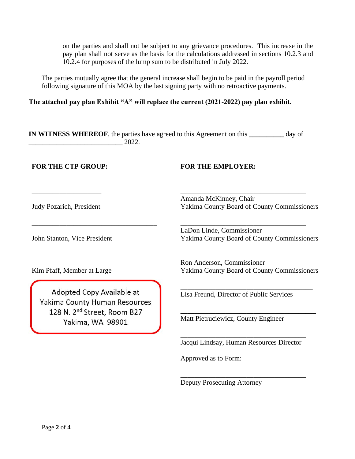on the parties and shall not be subject to any grievance procedures. This increase in the pay plan shall not serve as the basis for the calculations addressed in sections 10.2.3 and 10.2.4 for purposes of the lump sum to be distributed in July 2022.

The parties mutually agree that the general increase shall begin to be paid in the payroll period following signature of this MOA by the last signing party with no retroactive payments.

**The attached pay plan Exhibit "A" will replace the current (2021-2022) pay plan exhibit.** 

**IN WITNESS WHEREOF**, the parties have agreed to this Agreement on this **\_\_\_\_\_\_\_\_\_\_** day of  $\frac{2022}{\frac{1}{2022}}$ 

## **FOR THE CTP GROUP: FOR THE EMPLOYER:**

\_\_\_\_\_\_\_\_\_\_\_\_\_\_\_\_\_\_\_\_

Judy Pozarich, President

Amanda McKinney, Chair Yakima County Board of County Commissioners

\_\_\_\_\_\_\_\_\_\_\_\_\_\_\_\_\_\_\_\_\_\_\_\_\_\_\_\_\_\_\_\_\_\_\_\_

\_\_\_\_\_\_\_\_\_\_\_\_\_\_\_\_\_\_\_\_\_\_\_\_\_\_\_\_\_\_\_\_\_\_\_\_

\_\_\_\_\_\_\_\_\_\_\_\_\_\_\_\_\_\_\_\_\_\_\_\_\_\_\_\_\_\_\_\_\_\_\_\_

John Stanton, Vice President

LaDon Linde, Commissioner Yakima County Board of County Commissioners

Kim Pfaff, Member at Large

Adopted Copy Available at Yakima County Human Resources 128 N. 2<sup>nd</sup> Street, Room B27 Yakima, WA 98901

\_\_\_\_\_\_\_\_\_\_\_\_\_\_\_\_\_\_\_\_\_\_\_\_\_\_\_\_\_\_\_\_\_\_\_\_

\_\_\_\_\_\_\_\_\_\_\_\_\_\_\_\_\_\_\_\_\_\_\_\_\_\_\_\_\_\_\_\_\_\_\_\_

Ron Anderson, Commissioner Yakima County Board of County Commissioners

\_\_\_\_\_\_\_\_\_\_\_\_\_\_\_\_\_\_\_\_\_\_\_\_\_\_\_\_\_\_\_\_\_\_\_\_\_\_

\_\_\_\_\_\_\_\_\_\_\_\_\_\_\_\_\_\_\_\_\_\_\_\_\_\_\_\_\_\_\_\_\_\_\_\_\_\_\_

Lisa Freund, Director of Public Services

Matt Pietruciewicz, County Engineer

\_\_\_\_\_\_\_\_\_\_\_\_\_\_\_\_\_\_\_\_\_\_\_\_\_\_\_\_\_\_\_\_\_\_\_\_ Jacqui Lindsay, Human Resources Director

\_\_\_\_\_\_\_\_\_\_\_\_\_\_\_\_\_\_\_\_\_\_\_\_\_\_\_\_\_\_\_\_\_\_\_\_

Approved as to Form:

Deputy Prosecuting Attorney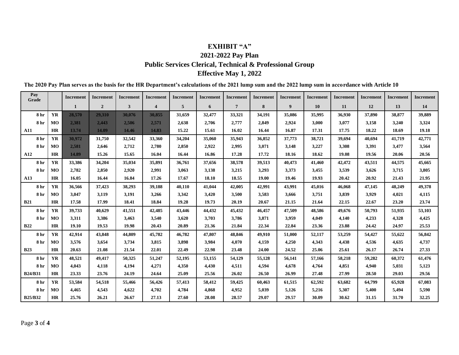# **EXHIBIT "A" 2021-2022 Pay Plan Public Services Clerical, Technical & Professional Group Effective May 1, 2022**

| Pay<br>Grade    |           | <b>Increment</b> | <b>Increment</b> | <b>Increment</b> | <b>Increment</b>        | <b>Increment</b> | <b>Increment</b> | <b>Increment</b> | <b>Increment</b> | <b>Increment</b> | <b>Increment</b> | <b>Increment</b> | Increment | <b>Increment</b> | <b>Increment</b> |
|-----------------|-----------|------------------|------------------|------------------|-------------------------|------------------|------------------|------------------|------------------|------------------|------------------|------------------|-----------|------------------|------------------|
|                 |           | 1                | $\overline{2}$   | $\mathbf{3}$     | $\overline{\mathbf{4}}$ | 5                | 6                | $7\phantom{.0}$  | 8                | 9                | 10               | 11               | 12        | 13               | 14               |
| 8 <sub>hr</sub> | <b>YR</b> | 28,570           | 29.310           | 30,076           | 30,855                  | 31,659           | 32,477           | 33,321           | 34,191           | 35,086           | 35,995           | 36,930           | 37,890    | 38,877           | 39,889           |
| 8 hr            | MO        | 2,381            | 2,443            | 2,506            | 2,571                   | 2,638            | 2,706            | 2,777            | 2,849            | 2,924            | 3,000            | 3,077            | 3,158     | 3,240            | 3,324            |
| <b>A11</b>      | HR        | 13.74            | 14.09            | 14.46            | 14.83                   | 15.22            | 15.61            | 16.02            | 16.44            | 16.87            | 17.31            | 17.75            | 18.22     | 18.69            | 19.18            |
| 8 hr            | <b>YR</b> | 30,972           | 31,750           | 32,542           | 33,360                  | 34,204           | 35,060           | 35,943           | 36,852           | 37,773           | 38,721           | 39,694           | 40,694    | 41,719           | 42,771           |
| 8 hr            | MO        | 2,581            | 2,646            | 2,712            | 2,780                   | 2,850            | 2,922            | 2,995            | 3,071            | 3,148            | 3,227            | 3,308            | 3,391     | 3,477            | 3,564            |
| A12             | <b>HR</b> | 14.89            | 15.26            | 15.65            | 16.04                   | 16.44            | 16.86            | 17.28            | 17.72            | 18.16            | 18.62            | 19.08            | 19.56     | 20.06            | 20.56            |
| 8 hr            | <b>YR</b> | 33,386           | 34,204           | 35,034           | 35,891                  | 36,761           | 37.656           | 38,578           | 39,513           | 40,473           | 41,460           | 42,472           | 43,511    | 44,575           | 45,665           |
| 8 hr            | MO        | 2,782            | 2,850            | 2,920            | 2,991                   | 3,063            | 3,138            | 3,215            | 3,293            | 3,373            | 3,455            | 3,539            | 3,626     | 3,715            | 3,805            |
| A13             | <b>HR</b> | 16.05            | 16.44            | 16.84            | 17.26                   | 17.67            | 18.10            | 18.55            | 19.00            | 19.46            | 19.93            | 20.42            | 20.92     | 21.43            | 21.95            |
| 8 hr            | YR        | 36,566           | 37,423           | 38,293           | 39,188                  | 40,110           | 41,044           | 42,005           | 42,991           | 43,991           | 45,016           | 46,068           | 47,145    | 48,249           | 49,378           |
| 8 hr            | MO        | 3,047            | 3,119            | 3,191            | 3,266                   | 3,342            | 3,420            | 3,500            | 3,583            | 3,666            | 3,751            | 3,839            | 3,929     | 4,021            | 4,115            |
| <b>B21</b>      | HR        | 17.58            | 17.99            | 18.41            | 18.84                   | 19.28            | 19.73            | 20.19            | 20.67            | 21.15            | 21.64            | 22.15            | 22.67     | 23.20            | 23.74            |
| 8 hr            | YR        | 39,733           | 40,629           | 41,551           | 42,485                  | 43,446           | 44,432           | 45,432           | 46,457           | 47,509           | 48,586           | 49,676           | 50,793    | 51,935           | 53,103           |
| 8 hr            | MO        | 3,311            | 3,386            | 3,463            | 3,540                   | 3,620            | 3,703            | 3,786            | 3,871            | 3,959            | 4,049            | 4,140            | 4,233     | 4,328            | 4,425            |
| <b>B22</b>      | <b>HR</b> | 19.10            | 19.53            | 19.98            | 20.43                   | 20.89            | 21.36            | 21.84            | 22.34            | 22.84            | 23.36            | 23.88            | 24.42     | 24.97            | 25.53            |
| 8 hr            | <b>YR</b> | 42,914           | 43,848           | 44,809           | 45,782                  | 46,782           | 47,807           | 48,846           | 49,910           | 51,000           | 52,117           | 53,259           | 54,427    | 55,622           | 56,842           |
| 8 hr            | MO        | 3,576            | 3,654            | 3,734            | 3,815                   | 3,898            | 3,984            | 4,070            | 4,159            | 4,250            | 4,343            | 4,438            | 4,536     | 4,635            | 4,737            |
| <b>B23</b>      | <b>HR</b> | 20.63            | 21.08            | 21.54            | 22.01                   | 22.49            | 22.98            | 23.48            | 24.00            | 24.52            | 25.06            | 25.61            | 26.17     | 26.74            | 27.33            |
| 8 hr            | <b>YR</b> | 48,521           | 49,417           | 50,325           | 51,247                  | 52,195           | 53,155           | 54,129           | 55,128           | 56,141           | 57,166           | 58,218           | 59,282    | 60,372           | 61,476           |
| 8 hr            | MO        | 4,043            | 4,118            | 4,194            | 4,271                   | 4,350            | 4,430            | 4,511            | 4,594            | 4,678            | 4,764            | 4,851            | 4,940     | 5,031            | 5,123            |
| <b>B24/B31</b>  | <b>HR</b> | 23.33            | 23.76            | 24.19            | 24.64                   | 25.09            | 25.56            | 26.02            | 26.50            | 26.99            | 27.48            | 27.99            | 28.50     | 29.03            | 29.56            |
| 8 <sub>hr</sub> | <b>YR</b> | 53.584           | 54,518           | 55,466           | 56,426                  | 57,413           | 58,412           | 59,425           | 60,463           | 61,515           | 62,592           | 63,682           | 64,799    | 65,928           | 67,083           |
| 8 hr            | MO        | 4,465            | 4,543            | 4,622            | 4,702                   | 4,784            | 4,868            | 4,952            | 5,039            | 5,126            | 5,216            | 5,307            | 5,400     | 5,494            | 5,590            |
| <b>B25/B32</b>  | <b>HR</b> | 25.76            | 26.21            | 26.67            | 27.13                   | 27.60            | 28.08            | 28.57            | 29.07            | 29.57            | 30.09            | 30.62            | 31.15     | 31.70            | 32.25            |